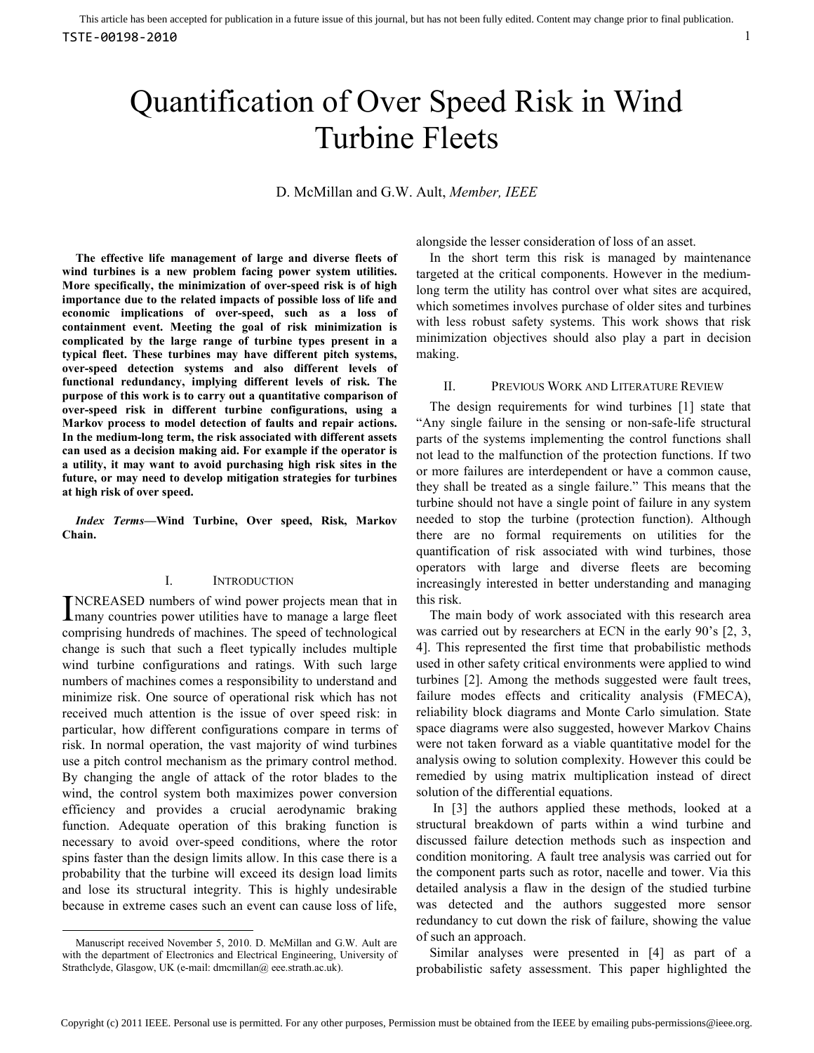# Quantification of Over Speed Risk in Wind Turbine Fleets

D. McMillan and G.W. Ault, *Member, IEEE*

**The effective life management of large and diverse fleets of wind turbines is a new problem facing power system utilities. More specifically, the minimization of over-speed risk is of high importance due to the related impacts of possible loss of life and economic implications of over-speed, such as a loss of containment event. Meeting the goal of risk minimization is complicated by the large range of turbine types present in a typical fleet. These turbines may have different pitch systems, over-speed detection systems and also different levels of functional redundancy, implying different levels of risk. The purpose of this work is to carry out a quantitative comparison of over-speed risk in different turbine configurations, using a Markov process to model detection of faults and repair actions. In the medium-long term, the risk associated with different assets can used as a decision making aid. For example if the operator is a utility, it may want to avoid purchasing high risk sites in the future, or may need to develop mitigation strategies for turbines at high risk of over speed.** 

*Index Terms***—Wind Turbine, Over speed, Risk, Markov Chain.** 

# I. INTRODUCTION

NCREASED numbers of wind power projects mean that in INCREASED numbers of wind power projects mean that in<br>Imany countries power utilities have to manage a large fleet comprising hundreds of machines. The speed of technological change is such that such a fleet typically includes multiple wind turbine configurations and ratings. With such large numbers of machines comes a responsibility to understand and minimize risk. One source of operational risk which has not received much attention is the issue of over speed risk: in particular, how different configurations compare in terms of risk. In normal operation, the vast majority of wind turbines use a pitch control mechanism as the primary control method. By changing the angle of attack of the rotor blades to the wind, the control system both maximizes power conversion efficiency and provides a crucial aerodynamic braking function. Adequate operation of this braking function is necessary to avoid over-speed conditions, where the rotor spins faster than the design limits allow. In this case there is a probability that the turbine will exceed its design load limits and lose its structural integrity. This is highly undesirable because in extreme cases such an event can cause loss of life,

-

alongside the lesser consideration of loss of an asset.

In the short term this risk is managed by maintenance targeted at the critical components. However in the mediumlong term the utility has control over what sites are acquired, which sometimes involves purchase of older sites and turbines with less robust safety systems. This work shows that risk minimization objectives should also play a part in decision making.

#### II. PREVIOUS WORK AND LITERATURE REVIEW

The design requirements for wind turbines [1] state that "Any single failure in the sensing or non-safe-life structural parts of the systems implementing the control functions shall not lead to the malfunction of the protection functions. If two or more failures are interdependent or have a common cause, they shall be treated as a single failure." This means that the turbine should not have a single point of failure in any system needed to stop the turbine (protection function). Although there are no formal requirements on utilities for the quantification of risk associated with wind turbines, those operators with large and diverse fleets are becoming increasingly interested in better understanding and managing this risk.

The main body of work associated with this research area was carried out by researchers at ECN in the early 90's [2, 3, 4]. This represented the first time that probabilistic methods used in other safety critical environments were applied to wind turbines [2]. Among the methods suggested were fault trees, failure modes effects and criticality analysis (FMECA), reliability block diagrams and Monte Carlo simulation. State space diagrams were also suggested, however Markov Chains were not taken forward as a viable quantitative model for the analysis owing to solution complexity. However this could be remedied by using matrix multiplication instead of direct solution of the differential equations.

 In [3] the authors applied these methods, looked at a structural breakdown of parts within a wind turbine and discussed failure detection methods such as inspection and condition monitoring. A fault tree analysis was carried out for the component parts such as rotor, nacelle and tower. Via this detailed analysis a flaw in the design of the studied turbine was detected and the authors suggested more sensor redundancy to cut down the risk of failure, showing the value of such an approach.

Similar analyses were presented in [4] as part of a probabilistic safety assessment. This paper highlighted the

Manuscript received November 5, 2010. D. McMillan and G.W. Ault are with the department of Electronics and Electrical Engineering, University of Strathclyde, Glasgow, UK (e-mail: dmcmillan@ eee.strath.ac.uk).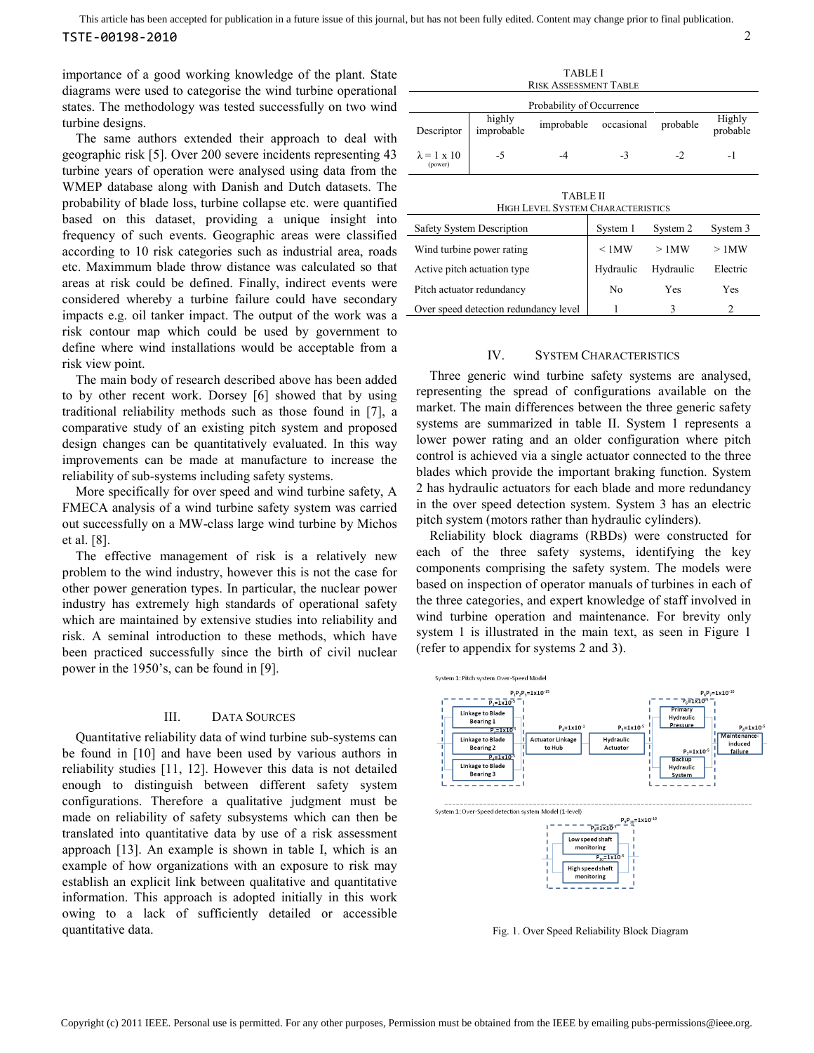importance of a good working knowledge of the plant. State diagrams were used to categorise the wind turbine operational states. The methodology was tested successfully on two wind turbine designs.

The same authors extended their approach to deal with geographic risk [5]. Over 200 severe incidents representing 43 turbine years of operation were analysed using data from the WMEP database along with Danish and Dutch datasets. The probability of blade loss, turbine collapse etc. were quantified based on this dataset, providing a unique insight into frequency of such events. Geographic areas were classified according to 10 risk categories such as industrial area, roads etc. Maximmum blade throw distance was calculated so that areas at risk could be defined. Finally, indirect events were considered whereby a turbine failure could have secondary impacts e.g. oil tanker impact. The output of the work was a risk contour map which could be used by government to define where wind installations would be acceptable from a risk view point.

The main body of research described above has been added to by other recent work. Dorsey [6] showed that by using traditional reliability methods such as those found in [7], a comparative study of an existing pitch system and proposed design changes can be quantitatively evaluated. In this way improvements can be made at manufacture to increase the reliability of sub-systems including safety systems.

More specifically for over speed and wind turbine safety, A FMECA analysis of a wind turbine safety system was carried out successfully on a MW-class large wind turbine by Michos et al. [8].

The effective management of risk is a relatively new problem to the wind industry, however this is not the case for other power generation types. In particular, the nuclear power industry has extremely high standards of operational safety which are maintained by extensive studies into reliability and risk. A seminal introduction to these methods, which have been practiced successfully since the birth of civil nuclear power in the 1950's, can be found in [9].

# III. DATA SOURCES

Quantitative reliability data of wind turbine sub-systems can be found in [10] and have been used by various authors in reliability studies [11, 12]. However this data is not detailed enough to distinguish between different safety system configurations. Therefore a qualitative judgment must be made on reliability of safety subsystems which can then be translated into quantitative data by use of a risk assessment approach [13]. An example is shown in table I, which is an example of how organizations with an exposure to risk may establish an explicit link between qualitative and quantitative information. This approach is adopted initially in this work owing to a lack of sufficiently detailed or accessible quantitative data.

| <b>TABLE I</b><br><b>RISK ASSESSMENT TABLE</b>              |                      |            |             |          |                    |  |  |  |
|-------------------------------------------------------------|----------------------|------------|-------------|----------|--------------------|--|--|--|
| Probability of Occurrence                                   |                      |            |             |          |                    |  |  |  |
| Descriptor                                                  | highly<br>improbable | improbable | occasional  | probable | Highly<br>probable |  |  |  |
| $\lambda = 1 \times 10$<br>(power)                          | $-5$                 | -4         | $-3$        | $-2$     | -1                 |  |  |  |
| <b>TABLE II</b><br><b>HIGH LEVEL SYSTEM CHARACTERISTICS</b> |                      |            |             |          |                    |  |  |  |
| Safety System Description                                   |                      |            | System 1    | System 2 | System 3           |  |  |  |
| Wind turbine power rating                                   |                      |            | $\leq 1$ MW | $>1$ MW  | $>1$ MW            |  |  |  |

| Wind turbine power rating             | <1MW                | >1MW | $>1$ MW  |  |
|---------------------------------------|---------------------|------|----------|--|
| Active pitch actuation type           | Hydraulic Hydraulic |      | Electric |  |
| Pitch actuator redundancy             | No                  | Yes  | Yes      |  |
| Over speed detection redundancy level |                     |      |          |  |

# IV. SYSTEM CHARACTERISTICS

Three generic wind turbine safety systems are analysed, representing the spread of configurations available on the market. The main differences between the three generic safety systems are summarized in table II. System 1 represents a lower power rating and an older configuration where pitch control is achieved via a single actuator connected to the three blades which provide the important braking function. System 2 has hydraulic actuators for each blade and more redundancy in the over speed detection system. System 3 has an electric pitch system (motors rather than hydraulic cylinders).

Reliability block diagrams (RBDs) were constructed for each of the three safety systems, identifying the key components comprising the safety system. The models were based on inspection of operator manuals of turbines in each of the three categories, and expert knowledge of staff involved in wind turbine operation and maintenance. For brevity only system 1 is illustrated in the main text, as seen in Figure 1 (refer to appendix for systems 2 and 3).



Fig. 1. Over Speed Reliability Block Diagram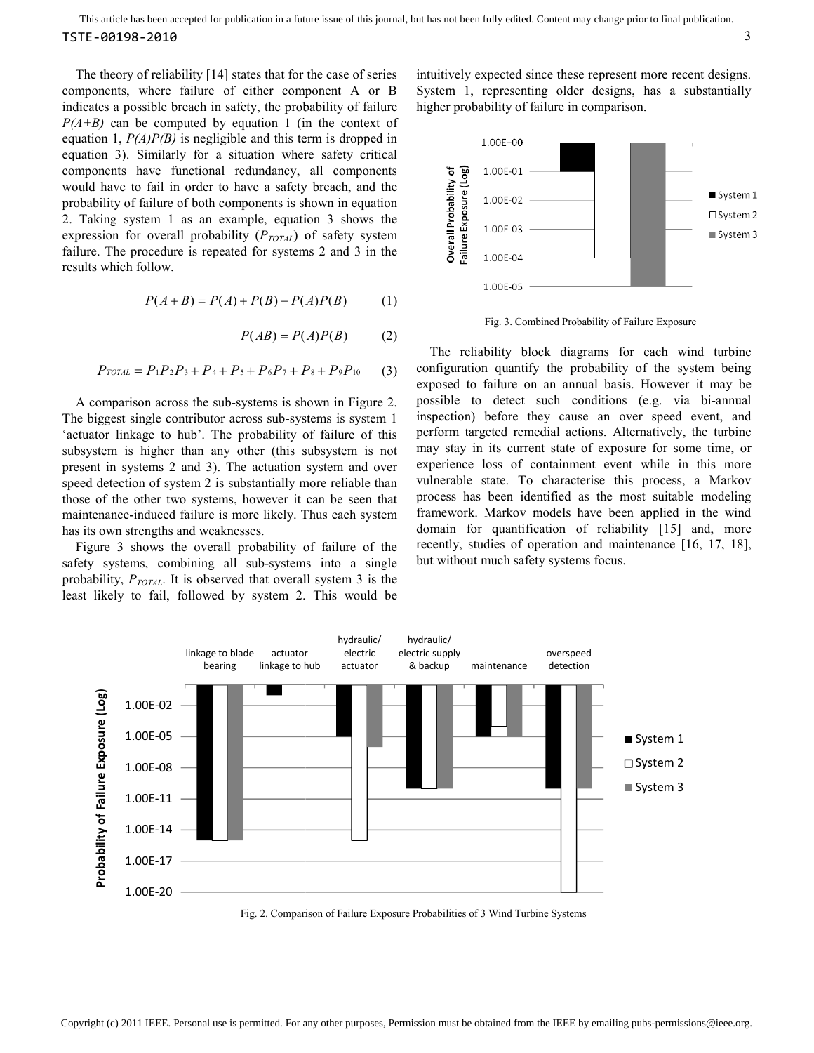The theory of reliability [14] states that for the case of series components, where failure of either component A or B The theory of reliability [14] states that for the case of series components, where failure of either component A or B indicates a possible breach in safety, the probability of failure *P(A+B)* can be computed by equation 1 (in the context of equation 1, *P(A)P(B)* is negligible and this term is dropped in equation 3). Similarly for a situation where safety critical components have functional redundancy, all components would have to fail in order to have a safety breach, and the probability of failure of both components is shown in equation 2. Taking system 1 as an example, equation 3 shows the expression for overall probability ( $P_{TOTAL}$ ) of safety system failure. The procedure is repeated for systems 2 and 3 in the results which follow. can be computed by equation 1 (in the context of 1,  $P(A)P(B)$  is negligible and this term is dropped in 3). Similarly for a situation where safety critical nts have functional redundancy, all components live to failure of

$$
P(A + B) = P(A) + P(B) - P(A)P(B)
$$
 (1)

$$
P(AB) = P(A)P(B) \tag{2}
$$

$$
P_{\text{TOTAL}} = P_1 P_2 P_3 + P_4 + P_5 + P_6 P_7 + P_8 + P_9 P_{10} \tag{3}
$$

A comparison across the sub-systems is shown in Figure 2. The biggest single contributor across sub-systems is system 1 'actuator linkage to hub'. The probability of failure of this subsystem is higher than any other (this subsystem is not present in systems 2 and 3). The actuation system and over speed detection of system 2 is substantially more reliable than those of the other two systems, however it can be seen that maintenance-induced failure is more likely. Thus each system has its own strengths and weaknesses. systems is shown in Figure 2.<br>contributor across sub-systems is system 1<br>o hub'. The probability of failure of this<br>er than any other (this subsystem is not<br>2 and 3). The actuation system and over<br>system 2 is substantially

Figure 3 shows the overall probability of failure of the safety systems, combining all sub-systems into a single probability, *PTOTAL*. It is observed that overall system 3 is the least likely to fail, followed by system 2. This would be

System 1, representing older designs, has a substantially higher probability of failure in comparison.



Fig. 3. Combined Probability of Failure Exposure

The theory of relativity [14] states that the three case of series intuitively expected since represent more recent designs. This is a substantially including the beach in staty, the probability of figure higher probabili The reliability block diagrams for each wind turbine configuration quantify the probability of the system being exposed to failure on an annual basis. However it may be exposed to failure on an annual basis. However it may be possible to detect such conditions (e.g. via bi-annual inspection) before they cause an over speed event, and perform targeted remedial actions. Alternatively, the turbine may stay in its current state of exposure for some time, or experience loss of containment event while in this more vulnerable state. To characterise this process, a Markov process has been identified as the most suitable modeling framework. Markov models have been applied in the wind domain for quantification of reliability [15] and, more recently, studies of operation and maintenance [16, 17, 18], but without much safety systems focus.



Fig. 2. Comparison of Failure Exposure Probabilities of 3 Wind Turbine Systems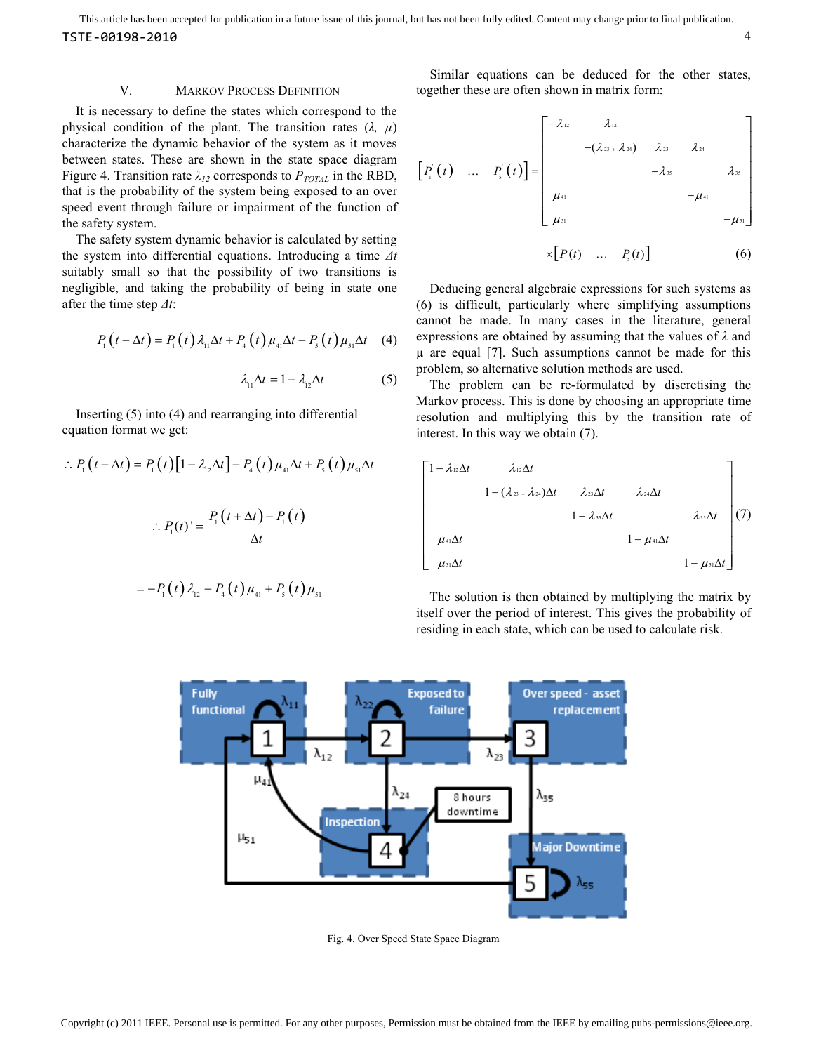This article has been accepted for publication in a future issue of this journal, but has not been fully edited. Content may change prior to final publication. TSTE-00198-2010 4

# V. MARKOV PROCESS DEFINITION

It is necessary to define the states which correspond to the physical condition of the plant. The transition rates  $(\lambda, \mu)$ characterize the dynamic behavior of the system as it moves between states. These are shown in the state space diagram Figure 4. Transition rate  $\lambda_{12}$  corresponds to  $P_{TOTAL}$  in the RBD, that is the probability of the system being exposed to an over speed event through failure or impairment of the function of the safety system.

The safety system dynamic behavior is calculated by setting the system into differential equations. Introducing a time *∆t* suitably small so that the possibility of two transitions is negligible, and taking the probability of being in state one after the time step *∆t*:

$$
P_1(t + \Delta t) = P_1(t) \lambda_{11} \Delta t + P_4(t) \mu_{41} \Delta t + P_5(t) \mu_{51} \Delta t \quad (4)
$$

$$
\lambda_{11} \Delta t = 1 - \lambda_{12} \Delta t \tag{5}
$$

Inserting (5) into (4) and rearranging into differential equation format we get:

$$
P_1(t + \Delta t) = P_1(t)[1 - \lambda_{12}\Delta t] + P_4(t)\mu_{41}\Delta t + P_5(t)\mu_{51}\Delta t
$$

$$
\therefore P_1(t)' = \frac{P_1(t + \Delta t) - P_1(t)}{\Delta t}
$$

$$
= -P_{1}(t)\lambda_{12} + P_{4}(t)\mu_{41} + P_{5}(t)\mu_{51}
$$

Similar equations can be deduced for the other states, together these are often shown in matrix form:

$$
\begin{bmatrix} P_1(t) & \dots & P_s(t) \end{bmatrix} = \begin{bmatrix} -\lambda_{12} & \lambda_{12} & & & \\ & -(\lambda_{23} + \lambda_{24}) & \lambda_{23} & \lambda_{24} & \\ & & -\lambda_{35} & & \\ & & & -\mu_{41} & \\ & & & & -\mu_{41} & \\ & & & & & \\ \mu_{31} & & & & -\mu_{51} \end{bmatrix}
$$

$$
\times [P_1(t) \quad \dots \quad P_s(t)] \tag{6}
$$

Deducing general algebraic expressions for such systems as (6) is difficult, particularly where simplifying assumptions cannot be made. In many cases in the literature, general expressions are obtained by assuming that the values of *λ* and µ are equal [7]. Such assumptions cannot be made for this problem, so alternative solution methods are used.

The problem can be re-formulated by discretising the Markov process. This is done by choosing an appropriate time resolution and multiplying this by the transition rate of interest. In this way we obtain (7).

$$
\begin{bmatrix}\n1-\lambda_{12}\Delta t & \lambda_{12}\Delta t & & & \\
 & 1-(\lambda_{23}+\lambda_{24})\Delta t & \lambda_{23}\Delta t & \lambda_{24}\Delta t & \\
 & & 1-\lambda_{35}\Delta t & \lambda_{35}\Delta t & \\
 & & & 1-\mu_{41}\Delta t & \\
 & & & & 1-\mu_{51}\Delta t\n\end{bmatrix}\n\begin{bmatrix}\n1-\lambda_{12}\Delta t & & & \\
 & \lambda_{24}\Delta t & & \\
 & & 1-\mu_{41}\Delta t & \\
 & & & 1-\mu_{51}\Delta t\n\end{bmatrix}\n\begin{bmatrix}\n1 & & & \\
 & \lambda_{13}\Delta t & & \\
 & & & 1-\mu_{52}\Delta t\n\end{bmatrix}
$$

The solution is then obtained by multiplying the matrix by itself over the period of interest. This gives the probability of residing in each state, which can be used to calculate risk.



Fig. 4. Over Speed State Space Diagram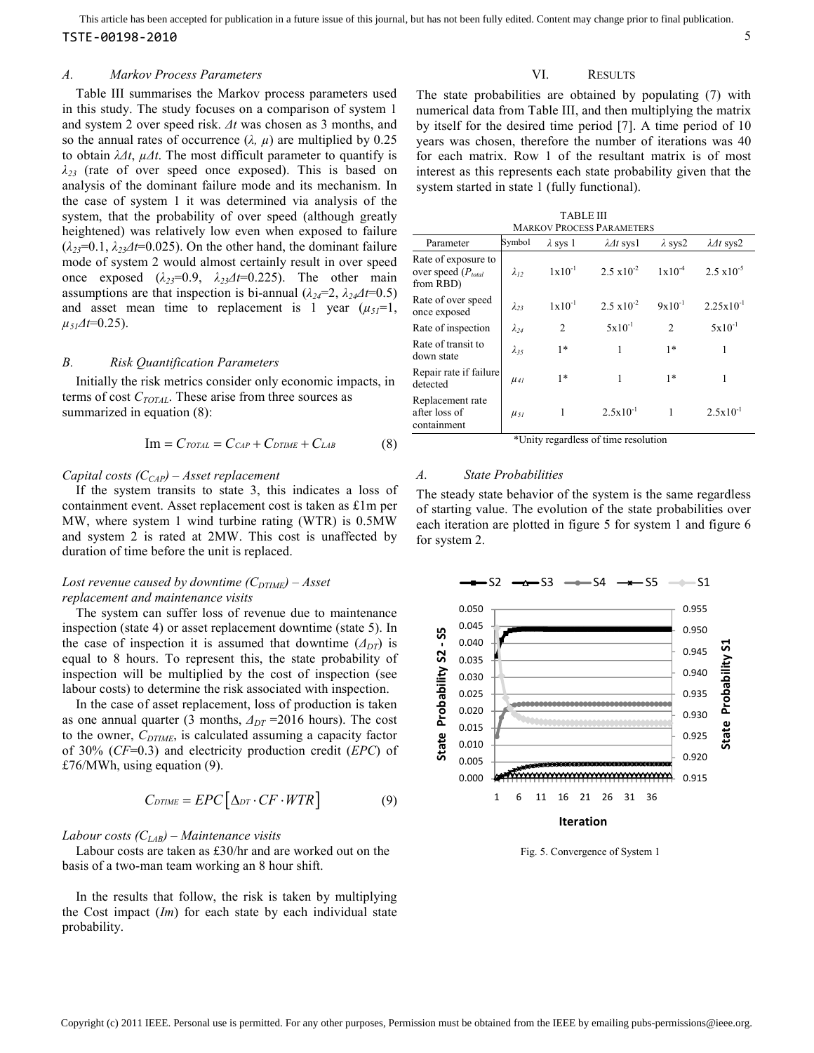#### *A. Markov Process Parameters*

Table III summarises the Markov process parameters used in this study. The study focuses on a comparison of system 1 and system 2 over speed risk. *∆t* was chosen as 3 months, and so the annual rates of occurrence  $(\lambda, \mu)$  are multiplied by 0.25 to obtain *λ∆t*, *µ∆t*. The most difficult parameter to quantify is *λ23* (rate of over speed once exposed). This is based on analysis of the dominant failure mode and its mechanism. In the case of system 1 it was determined via analysis of the system, that the probability of over speed (although greatly heightened) was relatively low even when exposed to failure  $(\lambda_{23}=0.1, \lambda_{23}\Delta t=0.025)$ . On the other hand, the dominant failure mode of system 2 would almost certainly result in over speed once exposed  $(\lambda_{23}=0.9, \lambda_{23}\Delta t=0.225)$ . The other main assumptions are that inspection is bi-annual  $(\lambda_{24}=2, \lambda_{24}\Delta t=0.5)$ and asset mean time to replacement is 1 year  $(\mu_{51}=1)$ ,  $\mu_{5}A t=0.25$ ).

## *B. Risk Quantification Parameters*

Initially the risk metrics consider only economic impacts, in terms of cost *CTOTAL*. These arise from three sources as summarized in equation (8):

$$
Im = C_{TOTAL} = C_{CAP} + C_{DTIME} + C_{LAB}
$$
 (8)

# *Capital costs (CCAP) – Asset replacement*

If the system transits to state 3, this indicates a loss of containment event. Asset replacement cost is taken as £1m per MW, where system 1 wind turbine rating (WTR) is 0.5MW and system 2 is rated at 2MW. This cost is unaffected by duration of time before the unit is replaced.

# *Lost revenue caused by downtime*  $(C_{DTIME})$  *– Asset replacement and maintenance visits*

The system can suffer loss of revenue due to maintenance inspection (state 4) or asset replacement downtime (state 5). In the case of inspection it is assumed that downtime  $(\Delta_{DT})$  is equal to 8 hours. To represent this, the state probability of inspection will be multiplied by the cost of inspection (see labour costs) to determine the risk associated with inspection.

In the case of asset replacement, loss of production is taken as one annual quarter (3 months, *∆DT* =2016 hours). The cost to the owner, *CDTIME*, is calculated assuming a capacity factor of 30% (*CF*=0.3) and electricity production credit (*EPC*) of £76/MWh, using equation (9).

$$
C_{DTIME} = EPC[\Delta_{DT} \cdot CF \cdot WTR] \tag{9}
$$

# *Labour costs (CLAB) – Maintenance visits*

Labour costs are taken as £30/hr and are worked out on the basis of a two-man team working an 8 hour shift.



# VI. RESULTS

The state probabilities are obtained by populating (7) with numerical data from Table III, and then multiplying the matrix by itself for the desired time period [7]. A time period of 10 years was chosen, therefore the number of iterations was 40 for each matrix. Row 1 of the resultant matrix is of most interest as this represents each state probability given that the system started in state 1 (fully functional).

| <b>TABLE III</b>                 |
|----------------------------------|
| <b>MARKOV PROCESS PARAMETERS</b> |

| <b>IVIANNUV I NUUESSI ANAIVIETENS</b>                       |                |                 |                      |                    |                       |  |  |
|-------------------------------------------------------------|----------------|-----------------|----------------------|--------------------|-----------------------|--|--|
| Parameter                                                   | Symbol         | $\lambda$ sys 1 | $\lambda$ dt sysl    | $\lambda$ sys2     | $\lambda$ 1t sys2     |  |  |
| Rate of exposure to<br>over speed $(P_{total}$<br>from RBD) | $\lambda_{12}$ | $1x10^{-1}$     | $2.5 \times 10^{-2}$ | $1 \times 10^{-4}$ | $2.5 \times 10^{-5}$  |  |  |
| Rate of over speed<br>once exposed                          | $\lambda_{23}$ | $1x10^{-1}$     | $2.5 \times 10^{-2}$ | $9x10^{-1}$        | $2.25 \times 10^{-1}$ |  |  |
| Rate of inspection                                          | $\lambda_{24}$ | $\overline{2}$  | $5x10^{-1}$          | $\overline{c}$     | $5x10^{-1}$           |  |  |
| Rate of transit to<br>down state                            | $\lambda_{35}$ | $1*$            | 1                    | $1*$               | 1                     |  |  |
| Repair rate if failure<br>detected                          | $\mu_{41}$     | $1*$            | 1                    | $1*$               | 1                     |  |  |
| Replacement rate<br>after loss of<br>containment            | $\mu_{5I}$     |                 | $2.5x10^{-1}$        |                    | $2.5x10^{-1}$         |  |  |

\*Unity regardless of time resolution

#### *A. State Probabilities*

The steady state behavior of the system is the same regardless of starting value. The evolution of the state probabilities over each iteration are plotted in figure 5 for system 1 and figure 6 for system 2.



Fig. 5. Convergence of System 1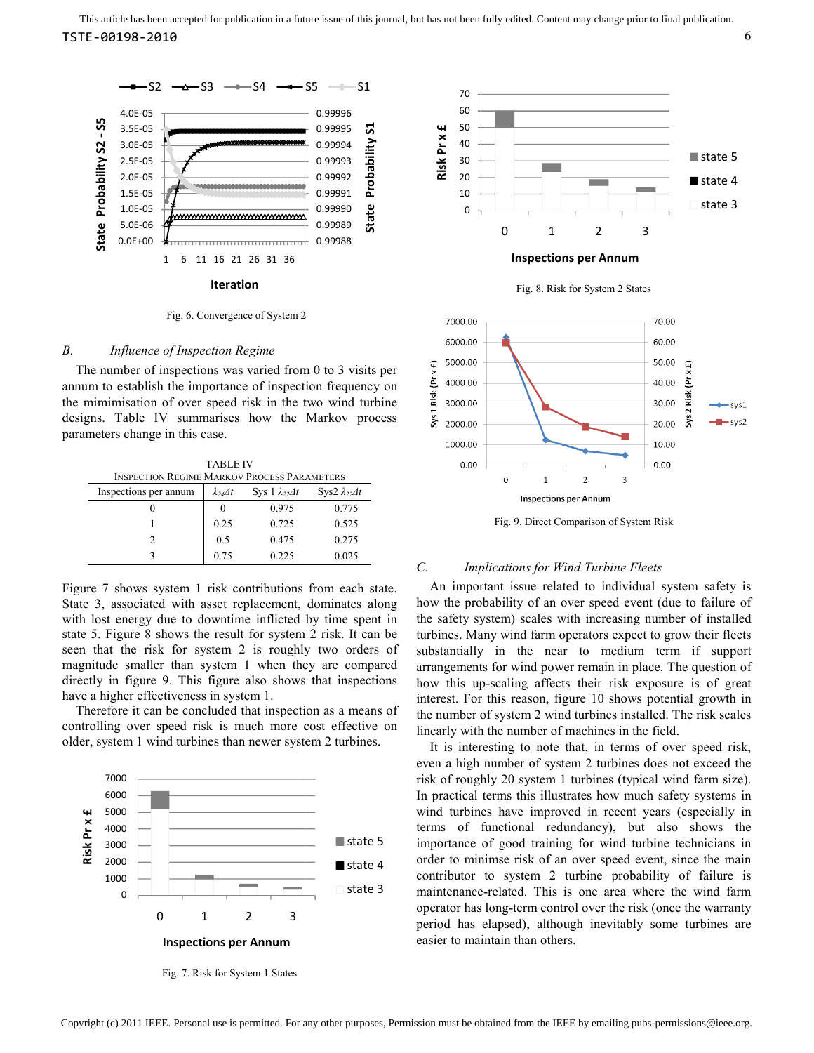





The number of inspections was varied from 0 to 3 visits per annum to establish the importance of inspection frequency on the mimimisation of over speed risk in the t designs. Table IV summarises how the Markov process parameters change in this case. The number of inspections was varied from 0 to 3 visits per annum to establish the importance of inspection frequency on the mimimisation of over speed risk in the two wind turbine

TABLE IV INSPECTION REGIME MARKOV PROCESS PARAMETERS Inspections per annum  $\lambda_{24} \Delta t$  Sys 1  $\lambda_{22} \Delta t$ 0 0 0.975 1 0.25 0.725 2 0.5 0.475 3 0.75 0.225 Sys2 *λ22∆t* 0.775 0.525 0.275 0.025

Figure 7 shows system 1 risk contributions from each state. State 3, associated with asset replacement, dominates along with lost energy due to downtime inflicted by time spent in state 5. Figure 8 shows the result for system 2 risk. It can be seen that the risk for system 2 is roughly two orders of magnitude smaller than system 1 when they are compared directly in figure 9. This figure also shows that inspections have a higher effectiveness in system 1. Figure 7 shows system 1 risk contributions from each state.<br>State 3, associated with asset replacement, dominates along<br>with lost energy due to downtime inflicted by time spent in<br>state 5. Figure 8 shows the result for sys

Therefore it can be concluded that inspection as a means of controlling over speed risk is much more cost effective on controlling over speed risk is much more cost effective older, system 1 wind turbines than newer system 2 turbines.



Fig. 7. Risk for System 1 States



Fig. 9. Direct Comparison of System Risk

## *C. Implications for Wind Turbine Fleets*

An important issue related to individual system safety is how the probability of an over speed event (due to failure of the safety system) scales with increasing number of installed turbines. Many wind farm operators expect to grow their fleets substantially in the near to medium term if support arrangements for wind power remain in place. The question of how this up-scaling affects their risk exposure is of great interest. For this reason, figure 10 shows potential growth in the number of system 2 wind turbines installed. The risk scales linearly with the number of machines in the field.

It is interesting to note that, in terms of over speed risk, even a high number of system 2 turbines does not exceed the risk of roughly 20 system 1 turbines (typical wind farm size). In practical terms this illustrates how much safety systems in wind turbines have improved in recent years (especially in terms of functional redundancy), but also shows the importance of good training for wind turbine technicians in order to minimse risk of an over speed event, since the main contributor to system 2 turbine probability of failure is maintenance-related. This is one area where the wind farm operator has long-term control over the risk (once the warranty period has elapsed), although inevitably some turbines are easier to maintain than others. his up-scaling affects their risk exposure is of great<br>st. For this reason, figure 10 shows potential growth in<br>mber of system 2 wind turbines installed. The risk scales<br>y with the number of machines in the field.<br>s intere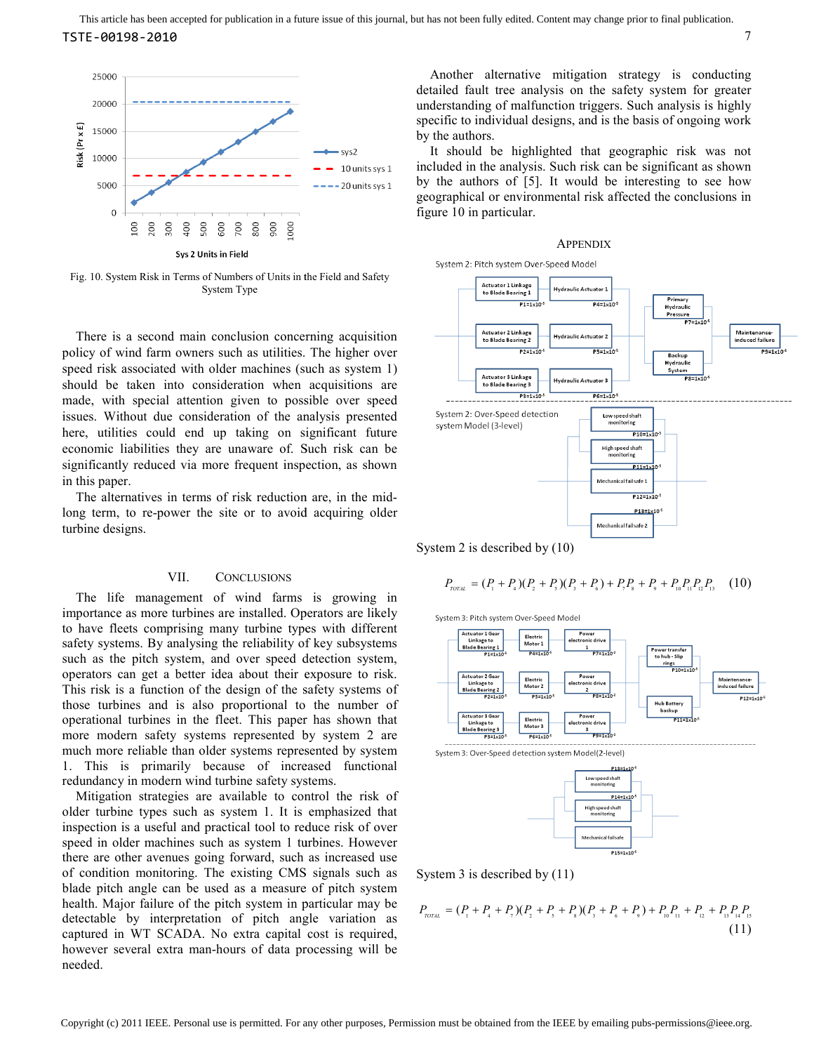

Fig. 10. System Risk in Terms of Numbers of Units in the Field and Safety System Type

There is a second main conclusion concerning acquisition policy of wind farm owners such as utilities. The higher over speed risk associated with older machines (such as system 1) should be taken into consideration when acquisitions are made, with special attention given to possible over speed issues. Without due consideration of the analysis presented here, utilities could end up taking on significant future economic liabilities they are unaware of. Such risk can be significantly reduced via more frequent inspection, as shown in this paper. There is a second main conclusion concerning acquisition<br>policy of wind farm owners such as utilities. The higher over<br>speed risk associated with older machines (such as system 1)<br>should be taken into consideration when ac

The alternatives in terms of risk reduction are, in the mid long term, to re-power the site or to avoid acquiring older turbine designs.

# VII. CONCLUSIONS

The life management of wind farms is growing in importance as more turbines are installed. Operators are likely to have fleets comprising many turbine types with different safety systems. By analysing the reliability of key subsystems such as the pitch system, and over speed detection system, operators can get a better idea about their exposure to risk. This risk is a function of the design of the safety systems of those turbines and is also proportional to the number of operational turbines in the fleet. This paper has shown that more modern safety systems represented by system 2 are much more reliable than older systems represented by system 1. This is primarily because of increased functional redundancy in modern wind turbine safety systems. long term, to re-power the site or to avoid acquiring older<br>turbine designs.<br>
VII. CONCLUSIONS<br>
The life management of wind farms is growing in<br>
importance as more turbines are installed. Operators are likely<br>
to have flee

Mitigation strategies are available to control the risk of older turbine types such as system 1. It is emphasized that inspection is a useful and practical tool to reduce risk of over speed in older machines such as system 1 turbines. However there are other avenues going forward, such as increased use of condition monitoring. The existing CMS signals such as blade pitch angle can be used as a measure of p health. Major failure of the pitch system in particular may be detectable by interpretation of pitch angle variation as captured in WT SCADA. No extra capital cost is required, however several extra man-hours of data processing will be needed.

detailed fault tree analysis on the safety system for greater understanding of malfunction triggers. Such analysis is highly specific to individual designs, and is the basis of ongoing work by the authors.

It should be highlighted that geographic risk was not included in the analysis. Such risk can be significant as shown by the authors of [5]. It would be interesting to see how geographical or environmental risk affected the conclusions in figure 10 in particular.

#### **APPENDIX**



System 2 is described by (10)

$$
P_{\text{total}} = (P_{1} + P_{4})(P_{2} + P_{5})(P_{3} + P_{6}) + P_{7}P_{8} + P_{9} + P_{10}P_{11}P_{12}P_{13} \tag{10}
$$





System 3 is described by (11)

$$
P_{\text{total}} = (P_{1} + P_{4} + P_{7})(P_{2} + P_{5} + P_{8})(P_{3} + P_{6} + P_{9}) + P_{10}P_{11} + P_{12} + P_{13}P_{14}P_{15}
$$
\n(11)